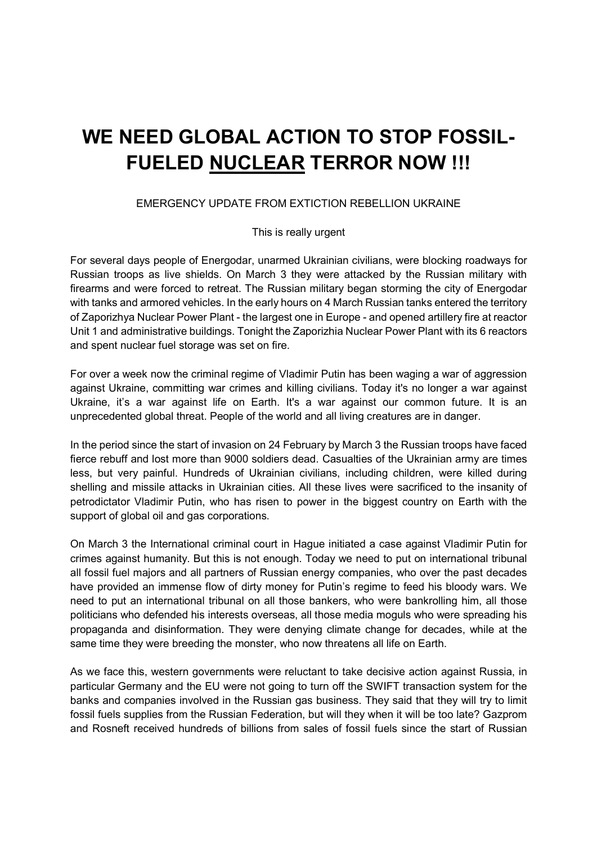## WE NEED GLOBAL ACTION TO STOP FOSSIL-FUELED NUCLEAR TERROR NOW !!!

## EMERGENCY UPDATE FROM EXTICTION REBELLION UKRAINE

## This is really urgent

For several days people of Energodar, unarmed Ukrainian civilians, were blocking roadways for Russian troops as live shields. On March 3 they were attacked by the Russian military with firearms and were forced to retreat. The Russian military began storming the city of Energodar with tanks and armored vehicles. In the early hours on 4 March Russian tanks entered the territory of Zaporizhya Nuclear Power Plant - the largest one in Europe - and opened artillery fire at reactor Unit 1 and administrative buildings. Tonight the Zaporizhia Nuclear Power Plant with its 6 reactors and spent nuclear fuel storage was set on fire.

For over a week now the criminal regime of Vladimir Putin has been waging a war of aggression against Ukraine, committing war crimes and killing civilians. Today it's no longer a war against Ukraine, it's a war against life on Earth. It's a war against our common future. It is an unprecedented global threat. People of the world and all living creatures are in danger.

In the period since the start of invasion on 24 February by March 3 the Russian troops have faced fierce rebuff and lost more than 9000 soldiers dead. Casualties of the Ukrainian army are times less, but very painful. Hundreds of Ukrainian civilians, including children, were killed during shelling and missile attacks in Ukrainian cities. All these lives were sacrificed to the insanity of petrodictator Vladimir Putin, who has risen to power in the biggest country on Earth with the support of global oil and gas corporations.

On March 3 the International criminal court in Hague initiated a case against Vladimir Putin for crimes against humanity. But this is not enough. Today we need to put on international tribunal all fossil fuel majors and all partners of Russian energy companies, who over the past decades have provided an immense flow of dirty money for Putin's regime to feed his bloody wars. We need to put an international tribunal on all those bankers, who were bankrolling him, all those politicians who defended his interests overseas, all those media moguls who were spreading his propaganda and disinformation. They were denying climate change for decades, while at the same time they were breeding the monster, who now threatens all life on Earth.

As we face this, western governments were reluctant to take decisive action against Russia, in particular Germany and the EU were not going to turn off the SWIFT transaction system for the banks and companies involved in the Russian gas business. They said that they will try to limit fossil fuels supplies from the Russian Federation, but will they when it will be too late? Gazprom and Rosneft received hundreds of billions from sales of fossil fuels since the start of Russian